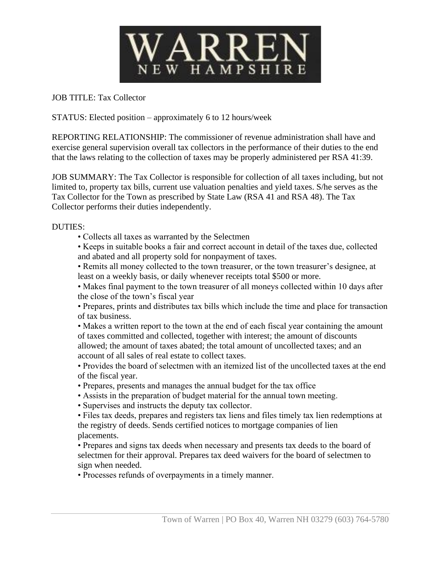

JOB TITLE: Tax Collector

STATUS: Elected position – approximately 6 to 12 hours/week

REPORTING RELATIONSHIP: The commissioner of revenue administration shall have and exercise general supervision overall tax collectors in the performance of their duties to the end that the laws relating to the collection of taxes may be properly administered per RSA 41:39.

JOB SUMMARY: The Tax Collector is responsible for collection of all taxes including, but not limited to, property tax bills, current use valuation penalties and yield taxes. S/he serves as the Tax Collector for the Town as prescribed by State Law (RSA 41 and RSA 48). The Tax Collector performs their duties independently.

DUTIES:

• Collects all taxes as warranted by the Selectmen

• Keeps in suitable books a fair and correct account in detail of the taxes due, collected and abated and all property sold for nonpayment of taxes.

• Remits all money collected to the town treasurer, or the town treasurer's designee, at least on a weekly basis, or daily whenever receipts total \$500 or more.

• Makes final payment to the town treasurer of all moneys collected within 10 days after the close of the town's fiscal year

• Prepares, prints and distributes tax bills which include the time and place for transaction of tax business.

• Makes a written report to the town at the end of each fiscal year containing the amount of taxes committed and collected, together with interest; the amount of discounts allowed; the amount of taxes abated; the total amount of uncollected taxes; and an account of all sales of real estate to collect taxes.

• Provides the board of selectmen with an itemized list of the uncollected taxes at the end of the fiscal year.

• Prepares, presents and manages the annual budget for the tax office

• Assists in the preparation of budget material for the annual town meeting.

• Supervises and instructs the deputy tax collector.

• Files tax deeds, prepares and registers tax liens and files timely tax lien redemptions at the registry of deeds. Sends certified notices to mortgage companies of lien placements.

• Prepares and signs tax deeds when necessary and presents tax deeds to the board of selectmen for their approval. Prepares tax deed waivers for the board of selectmen to sign when needed.

• Processes refunds of overpayments in a timely manner.